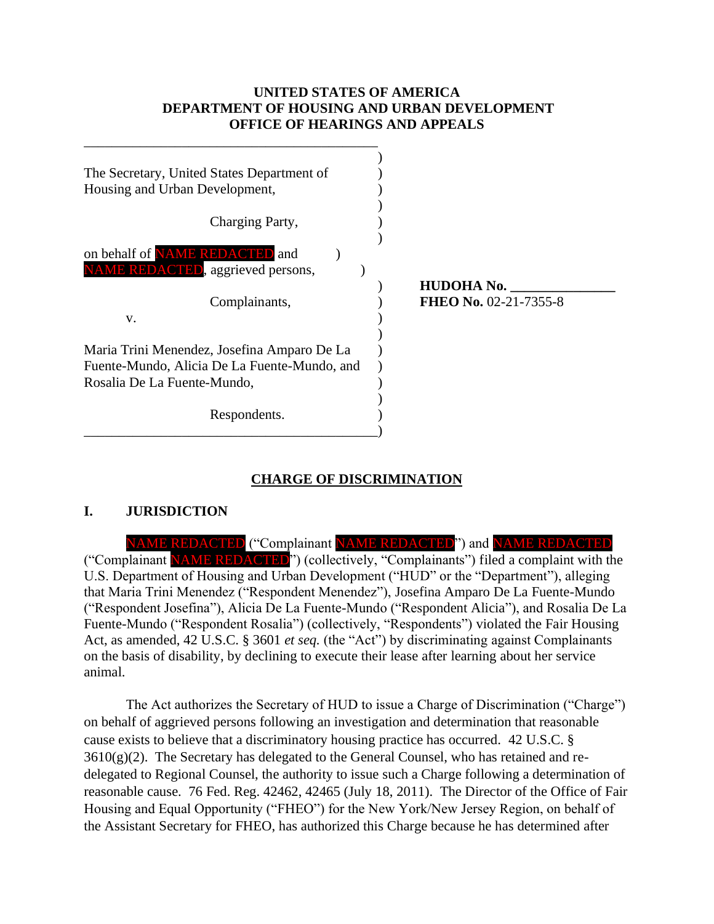#### **UNITED STATES OF AMERICA DEPARTMENT OF HOUSING AND URBAN DEVELOPMENT OFFICE OF HEARINGS AND APPEALS**

| The Secretary, United States Department of   |                       |
|----------------------------------------------|-----------------------|
| Housing and Urban Development,               |                       |
|                                              |                       |
| Charging Party,                              |                       |
|                                              |                       |
| on behalf of <b>NAME REDACTED</b> and        |                       |
| <b>NAME REDACTED</b> , aggrieved persons,    |                       |
|                                              | <b>HUDOHA No.</b>     |
| Complainants,                                | FHEO No. 02-21-7355-8 |
| V.                                           |                       |
|                                              |                       |
| Maria Trini Menendez, Josefina Amparo De La  |                       |
| Fuente-Mundo, Alicia De La Fuente-Mundo, and |                       |
| Rosalia De La Fuente-Mundo,                  |                       |
|                                              |                       |
| Respondents.                                 |                       |
|                                              |                       |

# **CHARGE OF DISCRIMINATION**

#### **I. JURISDICTION**

NAME REDACTED ("Complainant NAME REDACTED") and NAME REDACTED ("Complainant NAME REDACTED") (collectively, "Complainants") filed a complaint with the U.S. Department of Housing and Urban Development ("HUD" or the "Department"), alleging that Maria Trini Menendez ("Respondent Menendez"), Josefina Amparo De La Fuente-Mundo ("Respondent Josefina"), Alicia De La Fuente-Mundo ("Respondent Alicia"), and Rosalia De La Fuente-Mundo ("Respondent Rosalia") (collectively, "Respondents") violated the Fair Housing Act, as amended, 42 U.S.C. § 3601 *et seq.* (the "Act") by discriminating against Complainants on the basis of disability, by declining to execute their lease after learning about her service animal.

The Act authorizes the Secretary of HUD to issue a Charge of Discrimination ("Charge") on behalf of aggrieved persons following an investigation and determination that reasonable cause exists to believe that a discriminatory housing practice has occurred. 42 U.S.C. §  $3610(g)(2)$ . The Secretary has delegated to the General Counsel, who has retained and redelegated to Regional Counsel, the authority to issue such a Charge following a determination of reasonable cause. 76 Fed. Reg. 42462, 42465 (July 18, 2011). The Director of the Office of Fair Housing and Equal Opportunity ("FHEO") for the New York/New Jersey Region, on behalf of the Assistant Secretary for FHEO, has authorized this Charge because he has determined after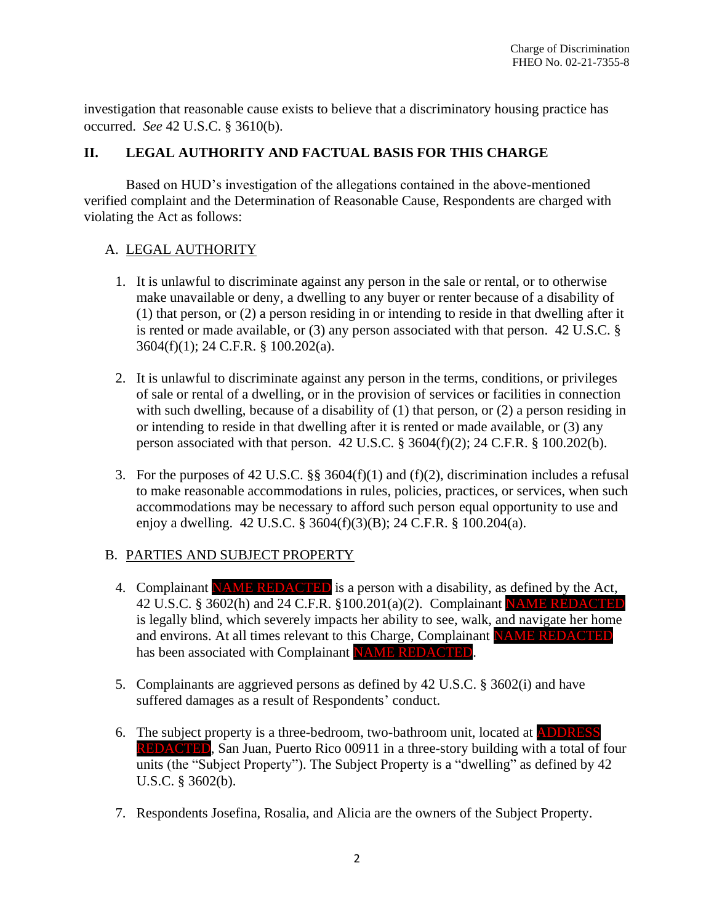investigation that reasonable cause exists to believe that a discriminatory housing practice has occurred. *See* 42 U.S.C. § 3610(b).

#### **II. LEGAL AUTHORITY AND FACTUAL BASIS FOR THIS CHARGE**

Based on HUD's investigation of the allegations contained in the above-mentioned verified complaint and the Determination of Reasonable Cause, Respondents are charged with violating the Act as follows:

# A. LEGAL AUTHORITY

- 1. It is unlawful to discriminate against any person in the sale or rental, or to otherwise make unavailable or deny, a dwelling to any buyer or renter because of a disability of (1) that person, or (2) a person residing in or intending to reside in that dwelling after it is rented or made available, or (3) any person associated with that person. 42 U.S.C. § 3604(f)(1); 24 C.F.R. § 100.202(a).
- 2. It is unlawful to discriminate against any person in the terms, conditions, or privileges of sale or rental of a dwelling, or in the provision of services or facilities in connection with such dwelling, because of a disability of (1) that person, or (2) a person residing in or intending to reside in that dwelling after it is rented or made available, or (3) any person associated with that person. 42 U.S.C. § 3604(f)(2); 24 C.F.R. § 100.202(b).
- 3. For the purposes of 42 U.S.C. §§ 3604(f)(1) and (f)(2), discrimination includes a refusal to make reasonable accommodations in rules, policies, practices, or services, when such accommodations may be necessary to afford such person equal opportunity to use and enjoy a dwelling. 42 U.S.C. § 3604(f)(3)(B); 24 C.F.R. § 100.204(a).

# B. PARTIES AND SUBJECT PROPERTY

- 4. Complainant NAME REDACTED is a person with a disability, as defined by the Act, 42 U.S.C. § 3602(h) and 24 C.F.R. §100.201(a)(2). Complainant NAME REDACTED is legally blind, which severely impacts her ability to see, walk, and navigate her home and environs. At all times relevant to this Charge, Complainant NAME REDACTED has been associated with Complainant NAME REDACTED.
- 5. Complainants are aggrieved persons as defined by 42 U.S.C. § 3602(i) and have suffered damages as a result of Respondents' conduct.
- 6. The subject property is a three-bedroom, two-bathroom unit, located at ADDRESS REDACTED, San Juan, Puerto Rico 00911 in a three-story building with a total of four units (the "Subject Property"). The Subject Property is a "dwelling" as defined by 42 U.S.C. § 3602(b).
- 7. Respondents Josefina, Rosalia, and Alicia are the owners of the Subject Property.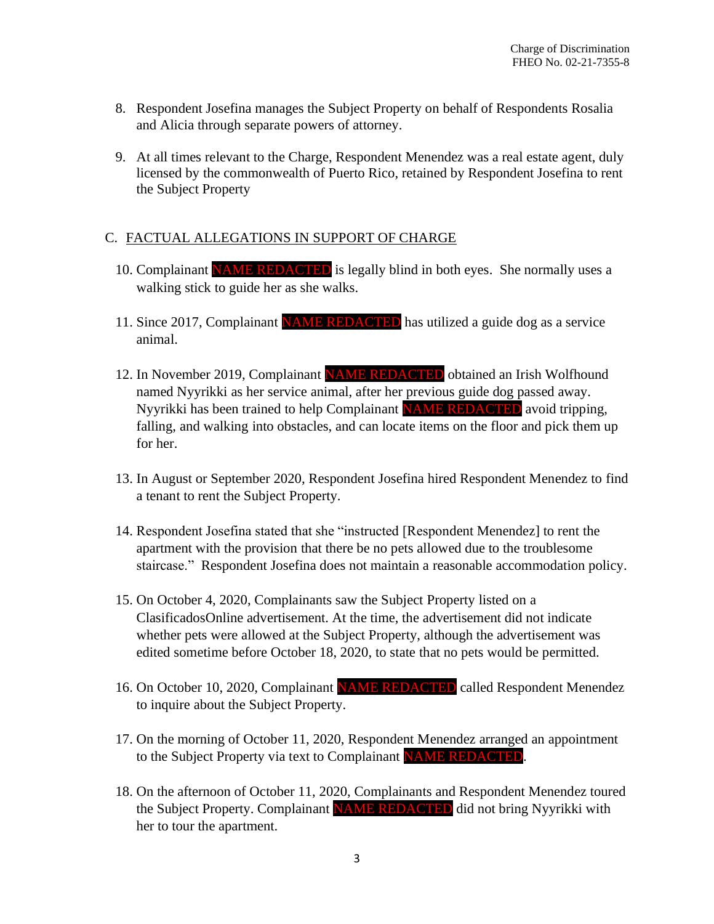- 8. Respondent Josefina manages the Subject Property on behalf of Respondents Rosalia and Alicia through separate powers of attorney.
- 9. At all times relevant to the Charge, Respondent Menendez was a real estate agent, duly licensed by the commonwealth of Puerto Rico, retained by Respondent Josefina to rent the Subject Property

# C. FACTUAL ALLEGATIONS IN SUPPORT OF CHARGE

- 10. Complainant NAME REDACTED is legally blind in both eyes. She normally uses a walking stick to guide her as she walks.
- 11. Since 2017, Complainant NAME REDACTED has utilized a guide dog as a service animal.
- 12. In November 2019, Complainant NAME REDACTED obtained an Irish Wolfhound named Nyyrikki as her service animal, after her previous guide dog passed away. Nyyrikki has been trained to help Complainant NAME REDACTED avoid tripping, falling, and walking into obstacles, and can locate items on the floor and pick them up for her.
- 13. In August or September 2020, Respondent Josefina hired Respondent Menendez to find a tenant to rent the Subject Property.
- 14. Respondent Josefina stated that she "instructed [Respondent Menendez] to rent the apartment with the provision that there be no pets allowed due to the troublesome staircase." Respondent Josefina does not maintain a reasonable accommodation policy.
- 15. On October 4, 2020, Complainants saw the Subject Property listed on a ClasificadosOnline advertisement. At the time, the advertisement did not indicate whether pets were allowed at the Subject Property, although the advertisement was edited sometime before October 18, 2020, to state that no pets would be permitted.
- 16. On October 10, 2020, Complainant NAME REDACTED called Respondent Menendez to inquire about the Subject Property.
- 17. On the morning of October 11, 2020, Respondent Menendez arranged an appointment to the Subject Property via text to Complainant NAME REDACTED
- 18. On the afternoon of October 11, 2020, Complainants and Respondent Menendez toured the Subject Property. Complainant NAME REDACTED did not bring Nyyrikki with her to tour the apartment.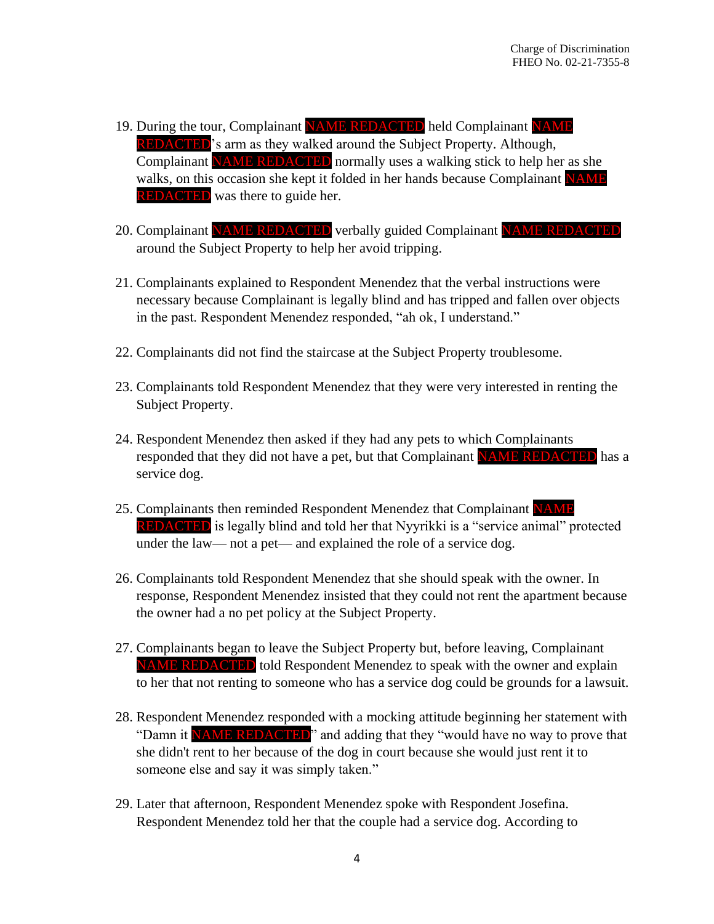- 19. During the tour, Complainant NAME REDACTED held Complainant NAME **REDACTED**'s arm as they walked around the Subject Property. Although, Complainant NAME REDACTED normally uses a walking stick to help her as she walks, on this occasion she kept it folded in her hands because Complainant NAME **REDACTED** was there to guide her.
- 20. Complainant NAME REDACTED verbally guided Complainant NAME REDACTED around the Subject Property to help her avoid tripping.
- 21. Complainants explained to Respondent Menendez that the verbal instructions were necessary because Complainant is legally blind and has tripped and fallen over objects in the past. Respondent Menendez responded, "ah ok, I understand."
- 22. Complainants did not find the staircase at the Subject Property troublesome.
- 23. Complainants told Respondent Menendez that they were very interested in renting the Subject Property.
- 24. Respondent Menendez then asked if they had any pets to which Complainants responded that they did not have a pet, but that Complainant NAME REDACTED has a service dog.
- 25. Complainants then reminded Respondent Menendez that Complainant NAME REDACTED is legally blind and told her that Nyyrikki is a "service animal" protected under the law— not a pet— and explained the role of a service dog.
- 26. Complainants told Respondent Menendez that she should speak with the owner. In response, Respondent Menendez insisted that they could not rent the apartment because the owner had a no pet policy at the Subject Property.
- 27. Complainants began to leave the Subject Property but, before leaving, Complainant NAME REDACTED told Respondent Menendez to speak with the owner and explain to her that not renting to someone who has a service dog could be grounds for a lawsuit.
- 28. Respondent Menendez responded with a mocking attitude beginning her statement with "Damn it NAME REDACTED" and adding that they "would have no way to prove that she didn't rent to her because of the dog in court because she would just rent it to someone else and say it was simply taken."
- 29. Later that afternoon, Respondent Menendez spoke with Respondent Josefina. Respondent Menendez told her that the couple had a service dog. According to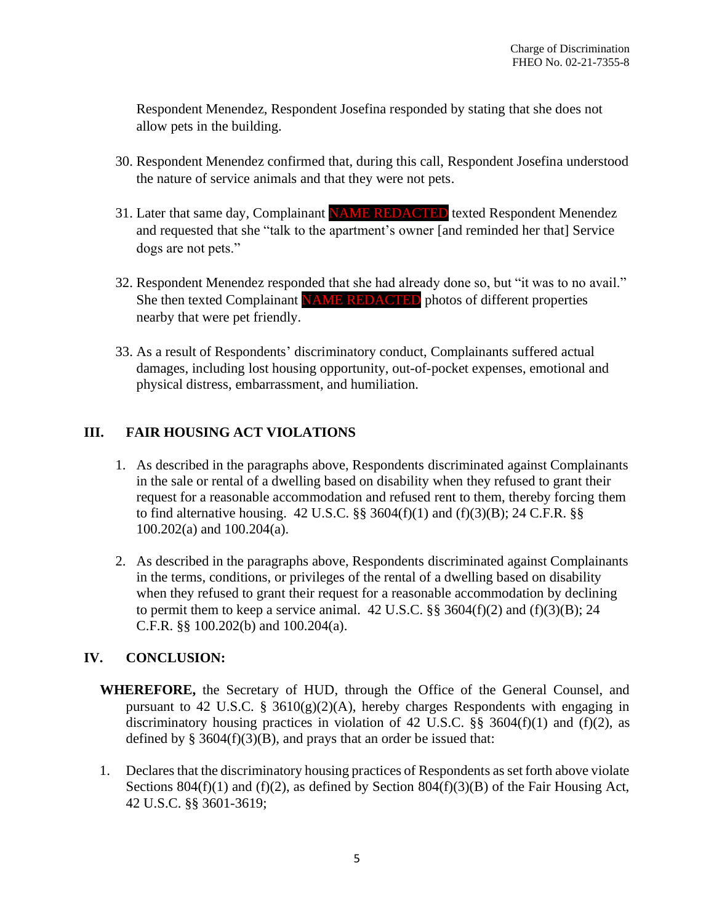Respondent Menendez, Respondent Josefina responded by stating that she does not allow pets in the building.

- 30. Respondent Menendez confirmed that, during this call, Respondent Josefina understood the nature of service animals and that they were not pets.
- 31. Later that same day, Complainant NAME REDACTED texted Respondent Menendez and requested that she "talk to the apartment's owner [and reminded her that] Service dogs are not pets."
- 32. Respondent Menendez responded that she had already done so, but "it was to no avail." She then texted Complainant NAME REDACTED photos of different properties nearby that were pet friendly.
- 33. As a result of Respondents' discriminatory conduct, Complainants suffered actual damages, including lost housing opportunity, out-of-pocket expenses, emotional and physical distress, embarrassment, and humiliation.

# **III. FAIR HOUSING ACT VIOLATIONS**

- 1. As described in the paragraphs above, Respondents discriminated against Complainants in the sale or rental of a dwelling based on disability when they refused to grant their request for a reasonable accommodation and refused rent to them, thereby forcing them to find alternative housing. 42 U.S.C.  $\S$ § 3604(f)(1) and (f)(3)(B); 24 C.F.R.  $\S$ § 100.202(a) and 100.204(a).
- 2. As described in the paragraphs above, Respondents discriminated against Complainants in the terms, conditions, or privileges of the rental of a dwelling based on disability when they refused to grant their request for a reasonable accommodation by declining to permit them to keep a service animal.  $42$  U.S.C.  $\S$ §  $3604(f)(2)$  and  $(f)(3)(B)$ ; 24 C.F.R. §§ 100.202(b) and 100.204(a).

# **IV. CONCLUSION:**

- **WHEREFORE,** the Secretary of HUD, through the Office of the General Counsel, and pursuant to 42 U.S.C. §  $3610(g)(2)(A)$ , hereby charges Respondents with engaging in discriminatory housing practices in violation of 42 U.S.C.  $\S$ § 3604(f)(1) and (f)(2), as defined by  $\S 3604(f)(3)(B)$ , and prays that an order be issued that:
- 1. Declares that the discriminatory housing practices of Respondents as set forth above violate Sections 804(f)(1) and (f)(2), as defined by Section 804(f)(3)(B) of the Fair Housing Act, 42 U.S.C. §§ 3601-3619;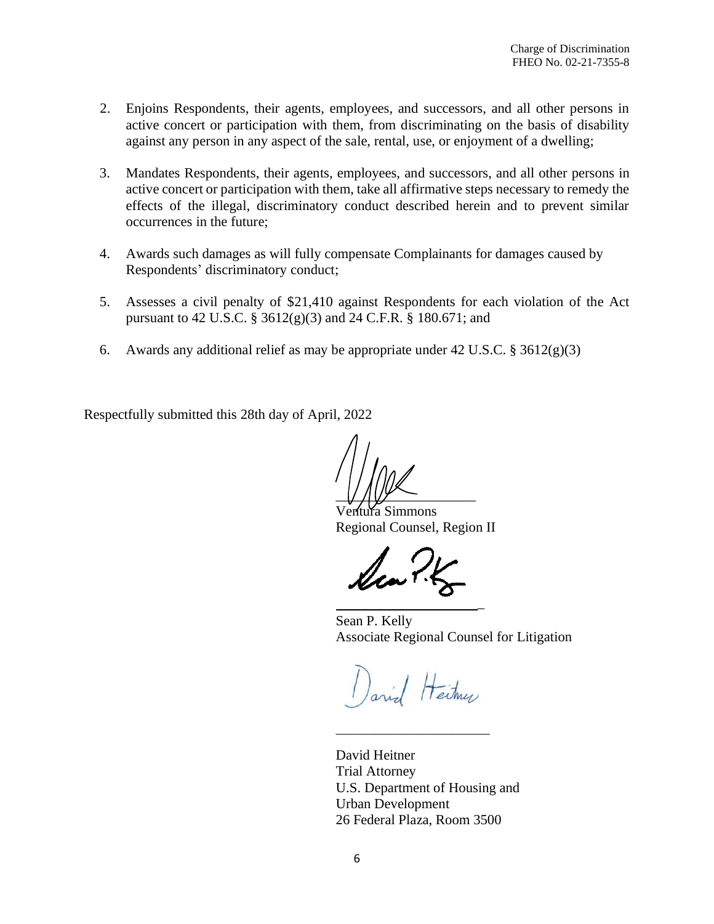- 2. Enjoins Respondents, their agents, employees, and successors, and all other persons in active concert or participation with them, from discriminating on the basis of disability against any person in any aspect of the sale, rental, use, or enjoyment of a dwelling;
- 3. Mandates Respondents, their agents, employees, and successors, and all other persons in active concert or participation with them, take all affirmative steps necessary to remedy the effects of the illegal, discriminatory conduct described herein and to prevent similar occurrences in the future;
- 4. Awards such damages as will fully compensate Complainants for damages caused by Respondents' discriminatory conduct;
- 5. Assesses a civil penalty of \$21,410 against Respondents for each violation of the Act pursuant to 42 U.S.C. § 3612(g)(3) and 24 C.F.R. § 180.671; and
- 6. Awards any additional relief as may be appropriate under 42 U.S.C. § 3612(g)(3)

Respectfully submitted this 28th day of April, 2022

 $\frac{1}{2}$ 

Ventura Simmons Regional Counsel, Region II

Sean P. Kelly Associate Regional Counsel for Litigation

\_

Dariel Heitmen

\_\_\_\_\_\_\_\_\_\_\_\_\_\_\_\_\_\_\_\_\_\_\_\_

David Heitner Trial Attorney U.S. Department of Housing and Urban Development 26 Federal Plaza, Room 3500